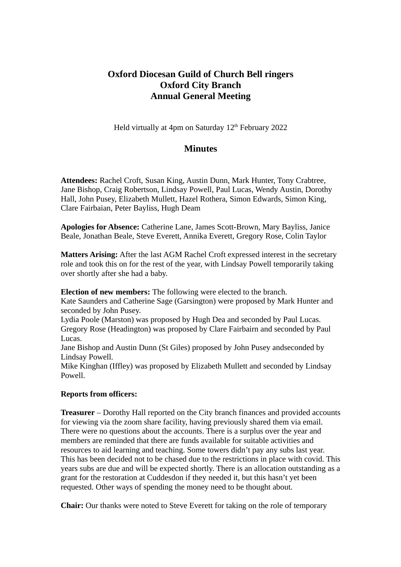# **Oxford Diocesan Guild of Church Bell ringers Oxford City Branch Annual General Meeting**

Held virtually at 4pm on Saturday 12<sup>th</sup> February 2022

## **Minutes**

**Attendees:** Rachel Croft, Susan King, Austin Dunn, Mark Hunter, Tony Crabtree, Jane Bishop, Craig Robertson, Lindsay Powell, Paul Lucas, Wendy Austin, Dorothy Hall, John Pusey, Elizabeth Mullett, Hazel Rothera, Simon Edwards, Simon King, Clare Fairbaian, Peter Bayliss, Hugh Deam

**Apologies for Absence:** Catherine Lane, James Scott-Brown, Mary Bayliss, Janice Beale, Jonathan Beale, Steve Everett, Annika Everett, Gregory Rose, Colin Taylor

**Matters Arising:** After the last AGM Rachel Croft expressed interest in the secretary role and took this on for the rest of the year, with Lindsay Powell temporarily taking over shortly after she had a baby.

**Election of new members:** The following were elected to the branch.

Kate Saunders and Catherine Sage (Garsington) were proposed by Mark Hunter and seconded by John Pusey.

Lydia Poole (Marston) was proposed by Hugh Dea and seconded by Paul Lucas. Gregory Rose (Headington) was proposed by Clare Fairbairn and seconded by Paul Lucas.

Jane Bishop and Austin Dunn (St Giles) proposed by John Pusey andseconded by Lindsay Powell.

Mike Kinghan (Iffley) was proposed by Elizabeth Mullett and seconded by Lindsay Powell.

## **Reports from officers:**

**Treasurer** – Dorothy Hall reported on the City branch finances and provided accounts for viewing via the zoom share facility, having previously shared them via email. There were no questions about the accounts. There is a surplus over the year and members are reminded that there are funds available for suitable activities and resources to aid learning and teaching. Some towers didn't pay any subs last year. This has been decided not to be chased due to the restrictions in place with covid. This years subs are due and will be expected shortly. There is an allocation outstanding as a grant for the restoration at Cuddesdon if they needed it, but this hasn't yet been requested. Other ways of spending the money need to be thought about.

**Chair:** Our thanks were noted to Steve Everett for taking on the role of temporary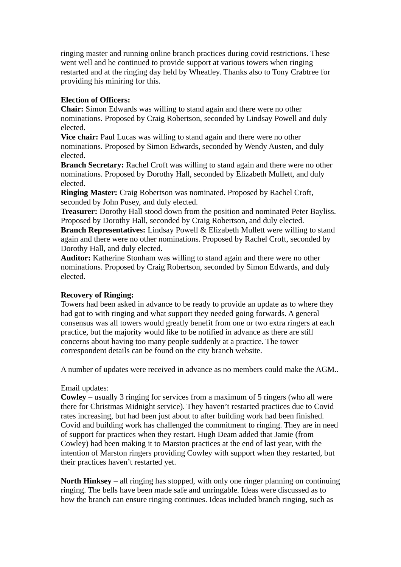ringing master and running online branch practices during covid restrictions. These went well and he continued to provide support at various towers when ringing restarted and at the ringing day held by Wheatley. Thanks also to Tony Crabtree for providing his miniring for this.

### **Election of Officers:**

**Chair:** Simon Edwards was willing to stand again and there were no other nominations. Proposed by Craig Robertson, seconded by Lindsay Powell and duly elected.

**Vice chair:** Paul Lucas was willing to stand again and there were no other nominations. Proposed by Simon Edwards, seconded by Wendy Austen, and duly elected.

**Branch Secretary:** Rachel Croft was willing to stand again and there were no other nominations. Proposed by Dorothy Hall, seconded by Elizabeth Mullett, and duly elected.

**Ringing Master:** Craig Robertson was nominated. Proposed by Rachel Croft, seconded by John Pusey, and duly elected.

**Treasurer:** Dorothy Hall stood down from the position and nominated Peter Bayliss. Proposed by Dorothy Hall, seconded by Craig Robertson, and duly elected.

**Branch Representatives:** Lindsay Powell & Elizabeth Mullett were willing to stand again and there were no other nominations. Proposed by Rachel Croft, seconded by Dorothy Hall, and duly elected.

**Auditor:** Katherine Stonham was willing to stand again and there were no other nominations. Proposed by Craig Robertson, seconded by Simon Edwards, and duly elected.

### **Recovery of Ringing:**

Towers had been asked in advance to be ready to provide an update as to where they had got to with ringing and what support they needed going forwards. A general consensus was all towers would greatly benefit from one or two extra ringers at each practice, but the majority would like to be notified in advance as there are still concerns about having too many people suddenly at a practice. The tower correspondent details can be found on the city branch website.

A number of updates were received in advance as no members could make the AGM..

### Email updates:

**Cowley** – usually 3 ringing for services from a maximum of 5 ringers (who all were there for Christmas Midnight service). They haven't restarted practices due to Covid rates increasing, but had been just about to after building work had been finished. Covid and building work has challenged the commitment to ringing. They are in need of support for practices when they restart. Hugh Deam added that Jamie (from Cowley) had been making it to Marston practices at the end of last year, with the intention of Marston ringers providing Cowley with support when they restarted, but their practices haven't restarted yet.

**North Hinksey** – all ringing has stopped, with only one ringer planning on continuing ringing. The bells have been made safe and unringable. Ideas were discussed as to how the branch can ensure ringing continues. Ideas included branch ringing, such as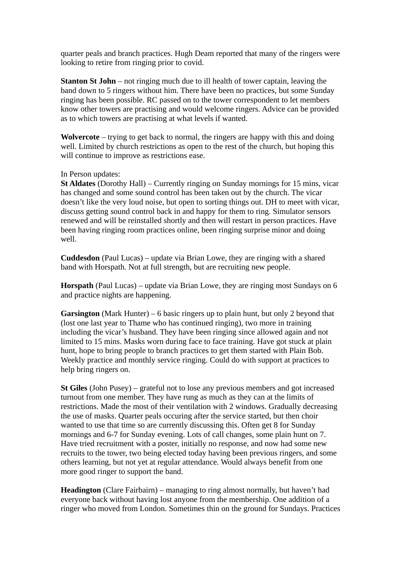quarter peals and branch practices. Hugh Deam reported that many of the ringers were looking to retire from ringing prior to covid.

**Stanton St John** – not ringing much due to ill health of tower captain, leaving the band down to 5 ringers without him. There have been no practices, but some Sunday ringing has been possible. RC passed on to the tower correspondent to let members know other towers are practising and would welcome ringers. Advice can be provided as to which towers are practising at what levels if wanted.

**Wolvercote** – trying to get back to normal, the ringers are happy with this and doing well. Limited by church restrictions as open to the rest of the church, but hoping this will continue to improve as restrictions ease.

### In Person updates:

**St Aldates** (Dorothy Hall) – Currently ringing on Sunday mornings for 15 mins, vicar has changed and some sound control has been taken out by the church. The vicar doesn't like the very loud noise, but open to sorting things out. DH to meet with vicar, discuss getting sound control back in and happy for them to ring. Simulator sensors renewed and will be reinstalled shortly and then will restart in person practices. Have been having ringing room practices online, been ringing surprise minor and doing well.

**Cuddesdon** (Paul Lucas) – update via Brian Lowe, they are ringing with a shared band with Horspath. Not at full strength, but are recruiting new people.

**Horspath** (Paul Lucas) – update via Brian Lowe, they are ringing most Sundays on 6 and practice nights are happening.

**Garsington** (Mark Hunter) – 6 basic ringers up to plain hunt, but only 2 beyond that (lost one last year to Thame who has continued ringing), two more in training including the vicar's husband. They have been ringing since allowed again and not limited to 15 mins. Masks worn during face to face training. Have got stuck at plain hunt, hope to bring people to branch practices to get them started with Plain Bob. Weekly practice and monthly service ringing. Could do with support at practices to help bring ringers on.

**St Giles** (John Pusey) – grateful not to lose any previous members and got increased turnout from one member. They have rung as much as they can at the limits of restrictions. Made the most of their ventilation with 2 windows. Gradually decreasing the use of masks. Quarter peals occuring after the service started, but then choir wanted to use that time so are currently discussing this. Often get 8 for Sunday mornings and 6-7 for Sunday evening. Lots of call changes, some plain hunt on 7. Have tried recruitment with a poster, initially no response, and now had some new recruits to the tower, two being elected today having been previous ringers, and some others learning, but not yet at regular attendance. Would always benefit from one more good ringer to support the band.

**Headington** (Clare Fairbairn) – managing to ring almost normally, but haven't had everyone back without having lost anyone from the membership. One addition of a ringer who moved from London. Sometimes thin on the ground for Sundays. Practices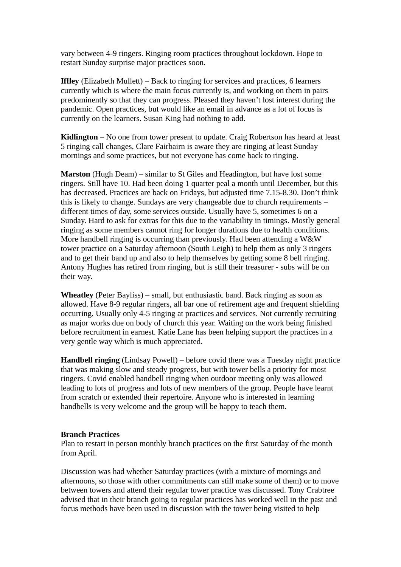vary between 4-9 ringers. Ringing room practices throughout lockdown. Hope to restart Sunday surprise major practices soon.

**Iffley** (Elizabeth Mullett) – Back to ringing for services and practices, 6 learners currently which is where the main focus currently is, and working on them in pairs predominently so that they can progress. Pleased they haven't lost interest during the pandemic. Open practices, but would like an email in advance as a lot of focus is currently on the learners. Susan King had nothing to add.

**Kidlington** – No one from tower present to update. Craig Robertson has heard at least 5 ringing call changes, Clare Fairbairn is aware they are ringing at least Sunday mornings and some practices, but not everyone has come back to ringing.

**Marston** (Hugh Deam) – similar to St Giles and Headington, but have lost some ringers. Still have 10. Had been doing 1 quarter peal a month until December, but this has decreased. Practices are back on Fridays, but adjusted time 7.15-8.30. Don't think this is likely to change. Sundays are very changeable due to church requirements – different times of day, some services outside. Usually have 5, sometimes 6 on a Sunday. Hard to ask for extras for this due to the variability in timings. Mostly general ringing as some members cannot ring for longer durations due to health conditions. More handbell ringing is occurring than previously. Had been attending a W&W tower practice on a Saturday afternoon (South Leigh) to help them as only 3 ringers and to get their band up and also to help themselves by getting some 8 bell ringing. Antony Hughes has retired from ringing, but is still their treasurer - subs will be on their way.

**Wheatley** (Peter Bayliss) – small, but enthusiastic band. Back ringing as soon as allowed. Have 8-9 regular ringers, all bar one of retirement age and frequent shielding occurring. Usually only 4-5 ringing at practices and services. Not currently recruiting as major works due on body of church this year. Waiting on the work being finished before recruitment in earnest. Katie Lane has been helping support the practices in a very gentle way which is much appreciated.

**Handbell ringing** (Lindsay Powell) – before covid there was a Tuesday night practice that was making slow and steady progress, but with tower bells a priority for most ringers. Covid enabled handbell ringing when outdoor meeting only was allowed leading to lots of progress and lots of new members of the group. People have learnt from scratch or extended their repertoire. Anyone who is interested in learning handbells is very welcome and the group will be happy to teach them.

### **Branch Practices**

Plan to restart in person monthly branch practices on the first Saturday of the month from April.

Discussion was had whether Saturday practices (with a mixture of mornings and afternoons, so those with other commitments can still make some of them) or to move between towers and attend their regular tower practice was discussed. Tony Crabtree advised that in their branch going to regular practices has worked well in the past and focus methods have been used in discussion with the tower being visited to help